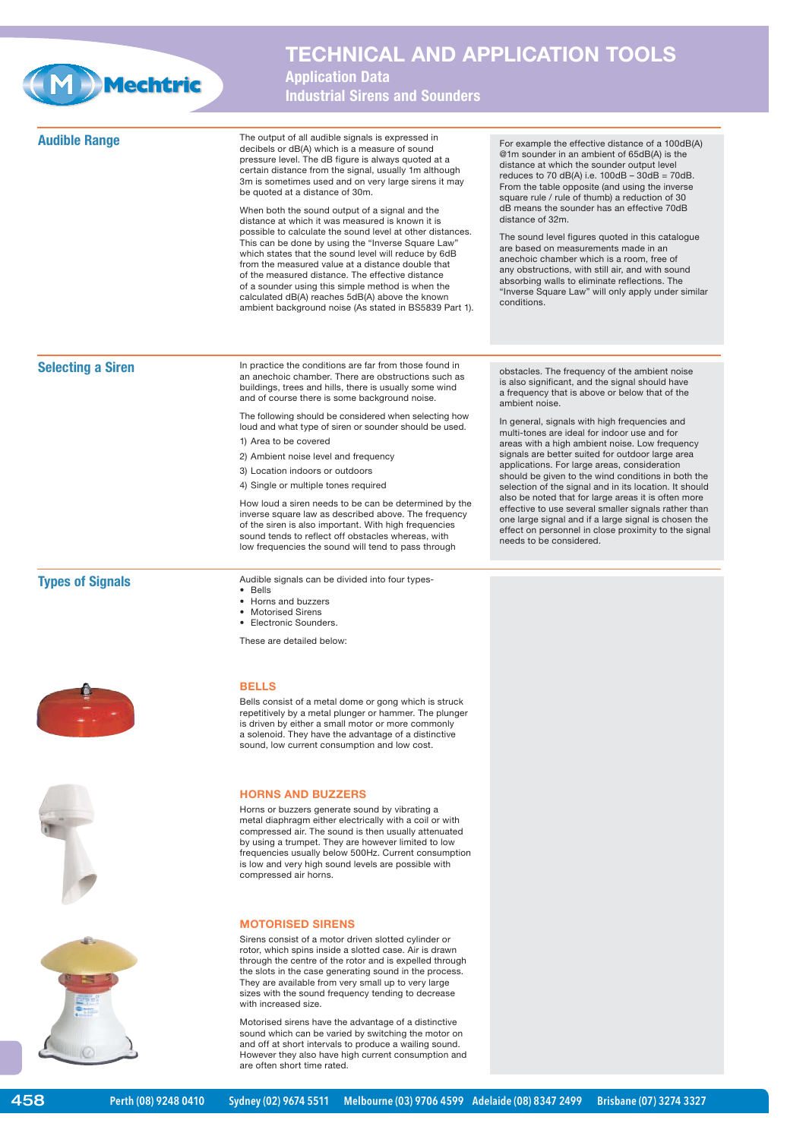

## **TECHNICAL AND APPLICATION TOOLS**

**Application Data Industrial Sirens and Sounders**

**Audible Range** The output of all audible signals is expressed in decibels or dB(A) which is a measure of sound pressure level. The dB figure is always quoted at a certain distance from the signal, usually 1m although 3m is sometimes used and on very large sirens it may be quoted at a distance of 30m. When both the sound output of a signal and the distance at which it was measured is known it is possible to calculate the sound level at other distances. .<br>This can be done by using the "Inverse Square Law which states that the sound level will reduce by 6dB from the measured value at a distance double that of the measured distance. The effective distance of a sounder using this simple method is when the calculated dB(A) reaches 5dB(A) above the known ambient background noise (As stated in BS5839 Part 1). For example the effective distance of a 100dB(A) @1m sounder in an ambient of 65dB(A) is the distance at which the sounder output level reduces to 70 dB(A) i.e.  $100dB - 30dB = 70dB$ . From the table opposite (and using the inverse square rule / rule of thumb) a reduction of 30 dB means the sounder has an effective 70dB distance of 32m. The sound level figures quoted in this catalogue are based on measurements made in an anechoic chamber which is a room, free of any obstructions, with still air, and with sound absorbing walls to eliminate reflections. The "Inverse Square Law" will only apply under similar conditions. **Selecting a Siren <b>In** practice the conditions are far from those found in an anechoic chamber. There are obstructions such as buildings, trees and hills, there is usually some wind and of course there is some background noise. The following should be considered when selecting how loud and what type of siren or sounder should be used. 1) Area to be covered 2) Ambient noise level and frequency 3) Location indoors or outdoors 4) Single or multiple tones required How loud a siren needs to be can be determined by the inverse square law as described above. The frequency of the siren is also important. With high frequencies sound tends to reflect off obstacles whereas, with low frequencies the sound will tend to pass through obstacles. The frequency of the ambient noise is also significant, and the signal should have a frequency that is above or below that of the ambient noise. In general, signals with high frequencies and multi-tones are ideal for indoor use and for areas with a high ambient noise. Low frequency signals are better suited for outdoor large area applications. For large areas, consideration should be given to the wind conditions in both the selection of the signal and in its location. It should also be noted that for large areas it is often more effective to use several smaller signals rather than one large signal and if a large signal is chosen the effect on personnel in close proximity to the signal needs to be considered. **Types of Signals Audible signals can be divided into four types-**• Bells • Horns and buzzers • Motorised Sirens • Electronic Sounders. These are detailed below: **BELLS** Bells consist of a metal dome or gong which is struck repetitively by a metal plunger or hammer. The plunger is driven by either a small motor or more commonly a solenoid. They have the advantage of a distinctive sound, low current consumption and low cost. **HORNS AND BUZZERS**





458

Horns or buzzers generate sound by vibrating a metal diaphragm either electrically with a coil or with compressed air. The sound is then usually attenuated by using a trumpet. They are however limited to low frequencies usually below 500Hz. Current consumption is low and very high sound levels are possible with compressed air horns.

## **MOTORISED SIRENS**

Sirens consist of a motor driven slotted cylinder or rotor, which spins inside a slotted case. Air is drawn through the centre of the rotor and is expelled through the slots in the case generating sound in the process. They are available from very small up to very large sizes with the sound frequency tending to decrease with increased size.

Motorised sirens have the advantage of a distinctive sound which can be varied by switching the motor on and off at short intervals to produce a wailing sound. However they also have high current consumption and are often short time rated.